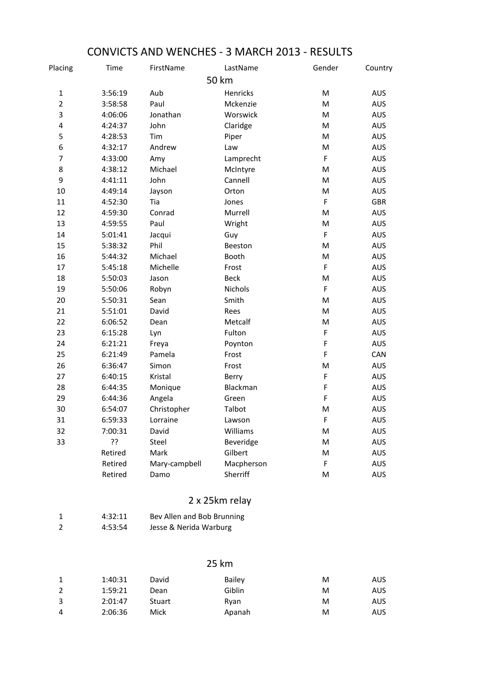| Placing          | <b>Time</b> | FirstName     | LastName    | Gender      | Country    |
|------------------|-------------|---------------|-------------|-------------|------------|
|                  |             |               | 50 km       |             |            |
| $\mathbf{1}$     | 3:56:19     | Aub           | Henricks    | M           | <b>AUS</b> |
| $\overline{2}$   | 3:58:58     | Paul          | Mckenzie    | M           | <b>AUS</b> |
| 3                | 4:06:06     | Jonathan      | Worswick    | M           | <b>AUS</b> |
| 4                | 4:24:37     | John          | Claridge    | M           | AUS        |
| 5                | 4:28:53     | Tim           | Piper       | ${\sf M}$   | <b>AUS</b> |
| 6                | 4:32:17     | Andrew        | Law         | M           | <b>AUS</b> |
| $\overline{7}$   | 4:33:00     | Amy           | Lamprecht   | F           | <b>AUS</b> |
| 8                | 4:38:12     | Michael       | McIntyre    | ${\sf M}$   | <b>AUS</b> |
| $\boldsymbol{9}$ | 4:41:11     | John          | Cannell     | M           | AUS        |
| 10               | 4:49:14     | Jayson        | Orton       | ${\sf M}$   | <b>AUS</b> |
| 11               | 4:52:30     | Tia           | Jones       | F           | <b>GBR</b> |
| 12               | 4:59:30     | Conrad        | Murrell     | M           | <b>AUS</b> |
| 13               | 4:59:55     | Paul          | Wright      | ${\sf M}$   | <b>AUS</b> |
| 14               | 5:01:41     | Jacqui        | Guy         | $\mathsf F$ | <b>AUS</b> |
| 15               | 5:38:32     | Phil          | Beeston     | M           | <b>AUS</b> |
| 16               | 5:44:32     | Michael       | Booth       | M           | <b>AUS</b> |
| 17               | 5:45:18     | Michelle      | Frost       | F           | <b>AUS</b> |
| 18               | 5:50:03     | Jason         | <b>Beck</b> | ${\sf M}$   | <b>AUS</b> |
| 19               | 5:50:06     | Robyn         | Nichols     | $\mathsf F$ | <b>AUS</b> |
| 20               | 5:50:31     | Sean          | Smith       | ${\sf M}$   | <b>AUS</b> |
| 21               | 5:51:01     | David         | Rees        | ${\sf M}$   | <b>AUS</b> |
| 22               | 6:06:52     | Dean          | Metcalf     | M           | <b>AUS</b> |
| 23               | 6:15:28     | Lyn           | Fulton      | F           | <b>AUS</b> |
| 24               | 6:21:21     | Freya         | Poynton     | F           | AUS        |
| 25               | 6:21:49     | Pamela        | Frost       | F           | CAN        |
| 26               | 6:36:47     | Simon         | Frost       | M           | <b>AUS</b> |
| 27               | 6:40:15     | Kristal       | Berry       | $\mathsf F$ | <b>AUS</b> |
| 28               | 6:44:35     | Monique       | Blackman    | F           | <b>AUS</b> |
| 29               | 6:44:36     | Angela        | Green       | F           | <b>AUS</b> |
| 30               | 6:54:07     | Christopher   | Talbot      | M           | AUS        |
| 31               | 6:59:33     | Lorraine      | Lawson      | F           | <b>AUS</b> |
| 32               | 7:00:31     | David         | Williams    | M           | <b>AUS</b> |
| 33               | ??          | Steel         | Beveridge   | M           | AUS        |
|                  | Retired     | Mark          | Gilbert     | M           | <b>AUS</b> |
|                  | Retired     | Mary-campbell | Macpherson  | F           | <b>AUS</b> |
|                  | Retired     | Damo          | Sherriff    | M           | AUS        |

## CONVICTS AND WENCHES - 3 MARCH 2013 - RESULTS

## 2 x 25km relay

|   | 4:32:11 | Bev Allen and Bob Brunning |
|---|---------|----------------------------|
| 2 | 4:53:54 | Jesse & Nerida Warburg     |

## 25 km

| 1 | 1:40:31 | David         | <b>Bailey</b> | M | AUS  |
|---|---------|---------------|---------------|---|------|
| 2 | 1:59:21 | Dean          | Giblin        | M | AUS. |
| 3 | 2:01:47 | <b>Stuart</b> | Rvan          | м | AUS. |
| 4 | 2:06:36 | Mick          | Apanah        | м | AUS. |